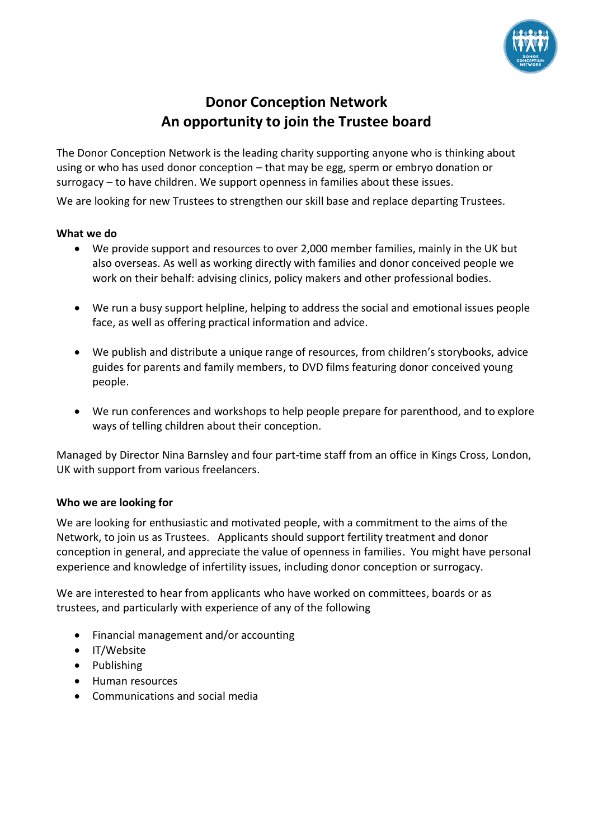

## **Donor Conception Network An opportunity to join the Trustee board**

The Donor Conception Network is the leading charity supporting anyone who is thinking about using or who has used donor conception – that may be egg, sperm or embryo donation or surrogacy – to have children. We support openness in families about these issues.

We are looking for new Trustees to strengthen our skill base and replace departing Trustees.

## **What we do**

- We provide support and resources to over 2,000 member families, mainly in the UK but also overseas. As well as working directly with families and donor conceived people we work on their behalf: advising clinics, policy makers and other professional bodies.
- We run a busy support helpline, helping to address the social and emotional issues people face, as well as offering practical information and advice.
- We publish and distribute a unique range of resources, from children's storybooks, advice guides for parents and family members, to DVD films featuring donor conceived young people.
- We run conferences and workshops to help people prepare for parenthood, and to explore ways of telling children about their conception.

Managed by Director Nina Barnsley and four part-time staff from an office in Kings Cross, London, UK with support from various freelancers.

## **Who we are looking for**

We are looking for enthusiastic and motivated people, with a commitment to the aims of the Network, to join us as Trustees. Applicants should support fertility treatment and donor conception in general, and appreciate the value of openness in families. You might have personal experience and knowledge of infertility issues, including donor conception or surrogacy.

We are interested to hear from applicants who have worked on committees, boards or as trustees, and particularly with experience of any of the following

- Financial management and/or accounting
- IT/Website
- Publishing
- Human resources
- Communications and social media